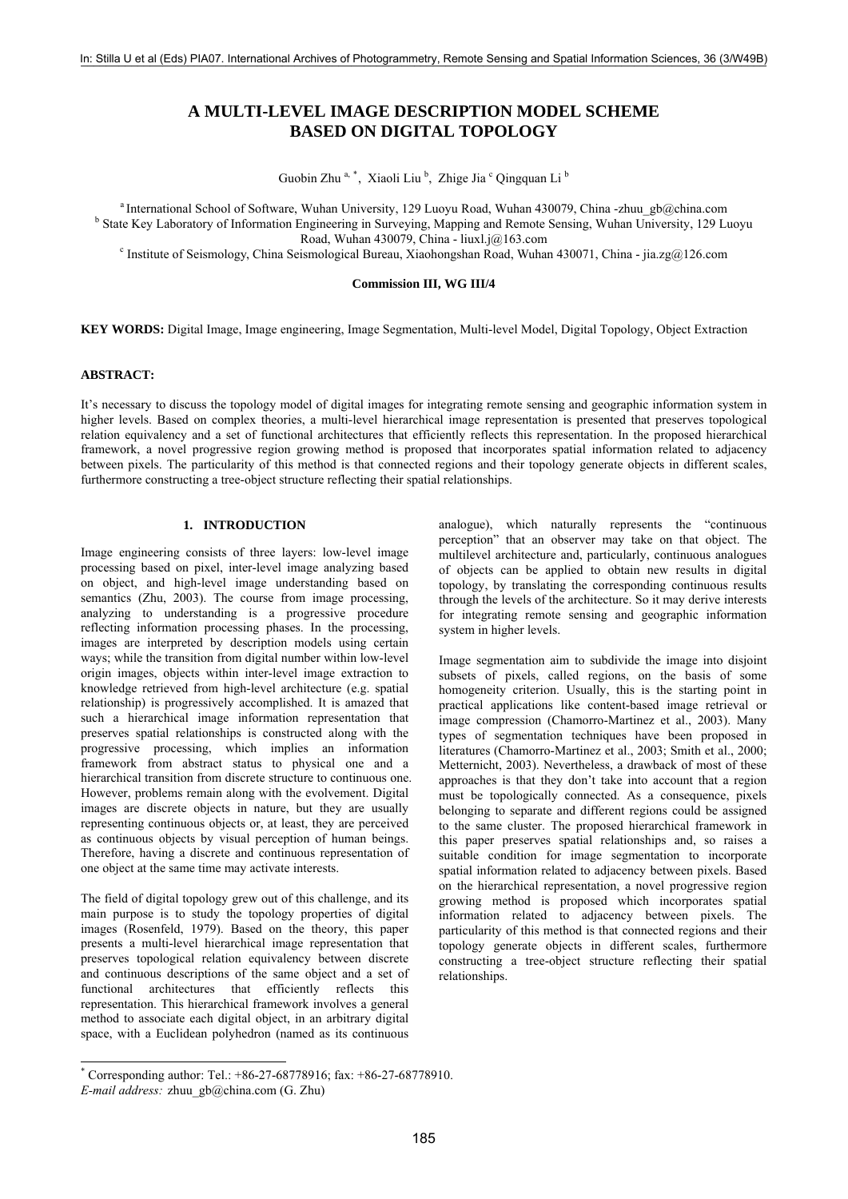# **A MULTI-LEVEL IMAGE DESCRIPTION MODEL SCHEME BASED ON DIGITAL TOPOLOGY**

Guobin Zhu<sup>a, [\\*](#page-0-0)</sup>, Xiaoli Liu<sup>b</sup>, Zhige Jia<sup>c</sup> Qingquan Li<sup>b</sup>

<sup>a</sup> International School of Software, Wuhan University, 129 Luoyu Road, Wuhan 430079, China -zhuu gb@china.com <sup>b</sup> State Key Laboratory of Information Engineering in Surveying, Mapping and Remote Sensing, Wuhan University, 129 Luoyu

Road, Wuhan 430079, China - [liuxl.j@163.com](mailto:liuxl.j@163.com)<br>China Seismological Bureau, Xiaohongshan Road, Wuhan 430071, China - [jia.zg@126.com](mailto:jia.zg@126.com) فr Institute of Seismology, China Seismological Bureau, Xiaohongshan Road, Wuhan 430071, China

#### **Commission III, WG III/4**

**KEY WORDS:** Digital Image, Image engineering, Image Segmentation, Multi-level Model, Digital Topology, Object Extraction

# **ABSTRACT:**

It's necessary to discuss the topology model of digital images for integrating remote sensing and geographic information system in higher levels. Based on complex theories, a multi-level hierarchical image representation is presented that preserves topological relation equivalency and a set of functional architectures that efficiently reflects this representation. In the proposed hierarchical framework, a novel progressive region growing method is proposed that incorporates spatial information related to adjacency between pixels. The particularity of this method is that connected regions and their topology generate objects in different scales, furthermore constructing a tree-object structure reflecting their spatial relationships.

#### **1. INTRODUCTION**

Image engineering consists of three layers: low-level image processing based on pixel, inter-level image analyzing based on object, and high-level image understanding based on semantics (Zhu, 2003). The course from image processing, analyzing to understanding is a progressive procedure reflecting information processing phases. In the processing, images are interpreted by description models using certain ways; while the transition from digital number within low-level origin images, objects within inter-level image extraction to knowledge retrieved from high-level architecture (e.g. spatial relationship) is progressively accomplished. It is amazed that such a hierarchical image information representation that preserves spatial relationships is constructed along with the progressive processing, which implies an information framework from abstract status to physical one and a hierarchical transition from discrete structure to continuous one. However, problems remain along with the evolvement. Digital images are discrete objects in nature, but they are usually representing continuous objects or, at least, they are perceived as continuous objects by visual perception of human beings. Therefore, having a discrete and continuous representation of one object at the same time may activate interests.

The field of digital topology grew out of this challenge, and its main purpose is to study the topology properties of digital images (Rosenfeld, 1979). Based on the theory, this paper presents a multi-level hierarchical image representation that preserves topological relation equivalency between discrete and continuous descriptions of the same object and a set of functional architectures that efficiently reflects this representation. This hierarchical framework involves a general method to associate each digital object, in an arbitrary digital space, with a Euclidean polyhedron (named as its continuous

analogue), which naturally represents the "continuous perception" that an observer may take on that object. The multilevel architecture and, particularly, continuous analogues of objects can be applied to obtain new results in digital topology, by translating the corresponding continuous results through the levels of the architecture. So it may derive interests for integrating remote sensing and geographic information system in higher levels.

Image segmentation aim to subdivide the image into disjoint subsets of pixels, called regions, on the basis of some homogeneity criterion. Usually, this is the starting point in practical applications like content-based image retrieval or image compression (Chamorro-Martinez et al., 2003). Many types of segmentation techniques have been proposed in literatures (Chamorro-Martinez et al., 2003; Smith et al., 2000; Metternicht, 2003). Nevertheless, a drawback of most of these approaches is that they don't take into account that a region must be topologically connected. As a consequence, pixels belonging to separate and different regions could be assigned to the same cluster. The proposed hierarchical framework in this paper preserves spatial relationships and, so raises a suitable condition for image segmentation to incorporate spatial information related to adjacency between pixels. Based on the hierarchical representation, a novel progressive region growing method is proposed which incorporates spatial information related to adjacency between pixels. The particularity of this method is that connected regions and their topology generate objects in different scales, furthermore constructing a tree-object structure reflecting their spatial relationships.

<span id="page-0-0"></span> \* Corresponding author: Tel.: +86-27-68778916; fax: +86-27-68778910. *E-mail address:* [zhuu\\_gb@china.com](mailto:zhuu_gb@china.com) (G. Zhu)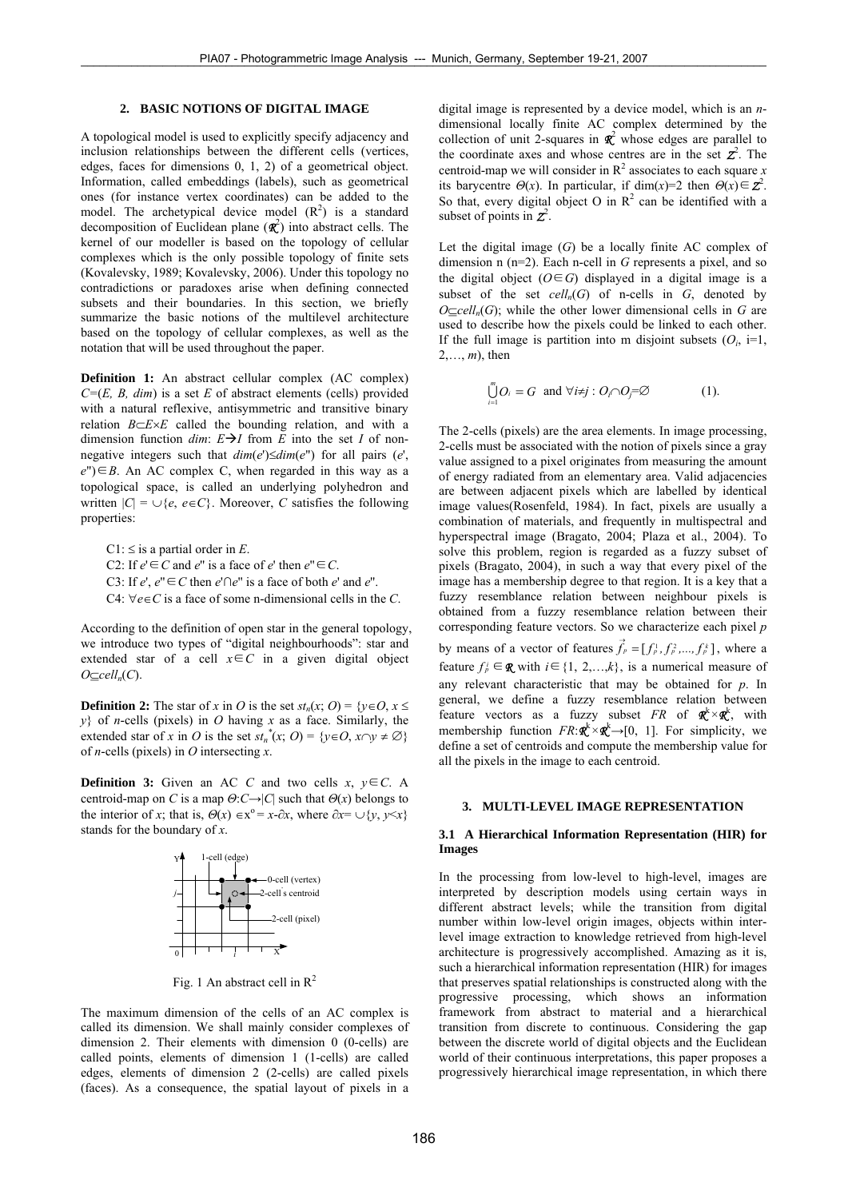# **2. BASIC NOTIONS OF DIGITAL IMAGE**

A topological model is used to explicitly specify adjacency and inclusion relationships between the different cells (vertices, edges, faces for dimensions 0, 1, 2) of a geometrical object. Information, called embeddings (labels), such as geometrical ones (for instance vertex coordinates) can be added to the model. The archetypical device model  $(R^2)$  is a standard decomposition of Euclidean plane (*R*<sup>2</sup> ) into abstract cells. The kernel of our modeller is based on the topology of cellular complexes which is the only possible topology of finite sets (Kovalevsky, 1989; Kovalevsky, 2006). Under this topology no contradictions or paradoxes arise when defining connected subsets and their boundaries. In this section, we briefly summarize the basic notions of the multilevel architecture based on the topology of cellular complexes, as well as the notation that will be used throughout the paper.

**Definition 1:** An abstract cellular complex (AC complex) *C=*(*E, B, dim*) is a set *E* of abstract elements (cells) provided with a natural reflexive, antisymmetric and transitive binary relation *B*⊂*E*×*E* called the bounding relation, and with a dimension function *dim*:  $E \rightarrow I$  from *E* into the set *I* of nonnegative integers such that  $dim(e') \leq dim(e'')$  for all pairs (*e'*,  $e'$ )∈*B*. An AC complex C, when regarded in this way as a topological space, is called an underlying polyhedron and written  $|C| = \bigcup \{e, e \in C\}$ . Moreover, *C* satisfies the following properties:

C1:  $\leq$  is a partial order in *E*. C2: If  $e' \in C$  and  $e''$  is a face of  $e'$  then  $e'' \in C$ . C3: If  $e'$ ,  $e'' \in C$  then  $e' \cap e''$  is a face of both  $e'$  and  $e''$ . C4: ∀*e*∈*C* is a face of some n-dimensional cells in the *C*.

According to the definition of open star in the general topology, we introduce two types of "digital neighbourhoods": star and extended star of a cell  $x \in C$  in a given digital object  $O ⊆$ *cell<sub>n</sub>*(*C*).

**Definition 2:** The star of *x* in *O* is the set  $st_n(x; 0) = \{y \in O, x \leq 0\}$ *y*} of *n*-cells (pixels) in *O* having *x* as a face. Similarly, the extended star of *x* in *O* is the set  $st_n^*(x; 0) = {y \in 0, x \cap y \neq \emptyset}$ of *n*-cells (pixels) in *O* intersecting *x*.

**Definition 3:** Given an AC *C* and two cells  $x, y \in C$ . A centroid-map on *C* is a map  $\Theta: C \rightarrow |C|$  such that  $\Theta(x)$  belongs to the interior of *x*; that is,  $\Theta(x) \in x^{\circ} = x - \partial x$ , where  $\partial x = \bigcup \{y, y \leq x\}$ stands for the boundary of *x*.



Fig. 1 An abstract cell in  $R^2$ 

The maximum dimension of the cells of an AC complex is called its dimension. We shall mainly consider complexes of dimension 2. Their elements with dimension 0 (0-cells) are called points, elements of dimension 1 (1-cells) are called edges, elements of dimension 2 (2-cells) are called pixels (faces). As a consequence, the spatial layout of pixels in a digital image is represented by a device model, which is an *n*dimensional locally finite AC complex determined by the collection of unit 2-squares in  $\mathbf{R}^2$  whose edges are parallel to the coordinate axes and whose centres are in the set  $\mathbf{z}^2$ . The centroid-map we will consider in  $R^2$  associates to each square *x* its barycentre  $\Theta(x)$ . In particular, if dim(*x*)=2 then  $\Theta(x) \in \mathbb{Z}^2$ . So that, every digital object O in  $\mathbb{R}^2$  can be identified with a subset of points in  $\mathbf{Z}^2$ .

Let the digital image (*G*) be a locally finite AC complex of dimension n (n=2). Each n-cell in *G* represents a pixel, and so the digital object  $(O \in G)$  displayed in a digital image is a subset of the set  $cell_n(G)$  of n-cells in  $G$ , denoted by *O*⊂*cell<sub>n</sub>*( $G$ ); while the other lower dimensional cells in  $G$  are used to describe how the pixels could be linked to each other. If the full image is partition into m disjoint subsets  $(O_i, i=1, j=1)$ 2,…, *m*), then

$$
\bigcup_{i=1}^{m} O_i = G \text{ and } \forall i \neq j : O_i \cap O_j = \varnothing
$$
 (1).

The 2-cells (pixels) are the area elements. In image processing, 2-cells must be associated with the notion of pixels since a gray value assigned to a pixel originates from measuring the amount of energy radiated from an elementary area. Valid adjacencies are between adjacent pixels which are labelled by identical image values(Rosenfeld, 1984). In fact, pixels are usually a combination of materials, and frequently in multispectral and hyperspectral image (Bragato, 2004; Plaza et al., 2004). To solve this problem, region is regarded as a fuzzy subset of pixels (Bragato, 2004), in such a way that every pixel of the image has a membership degree to that region. It is a key that a fuzzy resemblance relation between neighbour pixels is obtained from a fuzzy resemblance relation between their corresponding feature vectors. So we characterize each pixel *p*  by means of a vector of features  $\vec{f}_p = [f_p^1, f_p^2, \dots, f_p^k]$ , where a feature  $f_p^i \in \mathbb{R}$  with  $i \in \{1, 2, \ldots, k\}$ , is a numerical measure of any relevant characteristic that may be obtained for *p*. In general, we define a fuzzy resemblance relation between feature vectors as a fuzzy subset *FR* of  $\mathbf{R}^k \times \mathbf{R}^k$ , with membership function  $FR: \mathbf{R}^k \times \mathbf{R}^k \rightarrow [0, 1]$ . For simplicity, we define a set of centroids and compute the membership value for all the pixels in the image to each centroid.

# **3. MULTI-LEVEL IMAGE REPRESENTATION**

### **3.1 A Hierarchical Information Representation (HIR) for Images**

In the processing from low-level to high-level, images are interpreted by description models using certain ways in different abstract levels; while the transition from digital number within low-level origin images, objects within interlevel image extraction to knowledge retrieved from high-level architecture is progressively accomplished. Amazing as it is, such a hierarchical information representation (HIR) for images that preserves spatial relationships is constructed along with the progressive processing, which shows an information framework from abstract to material and a hierarchical transition from discrete to continuous. Considering the gap between the discrete world of digital objects and the Euclidean world of their continuous interpretations, this paper proposes a progressively hierarchical image representation, in which there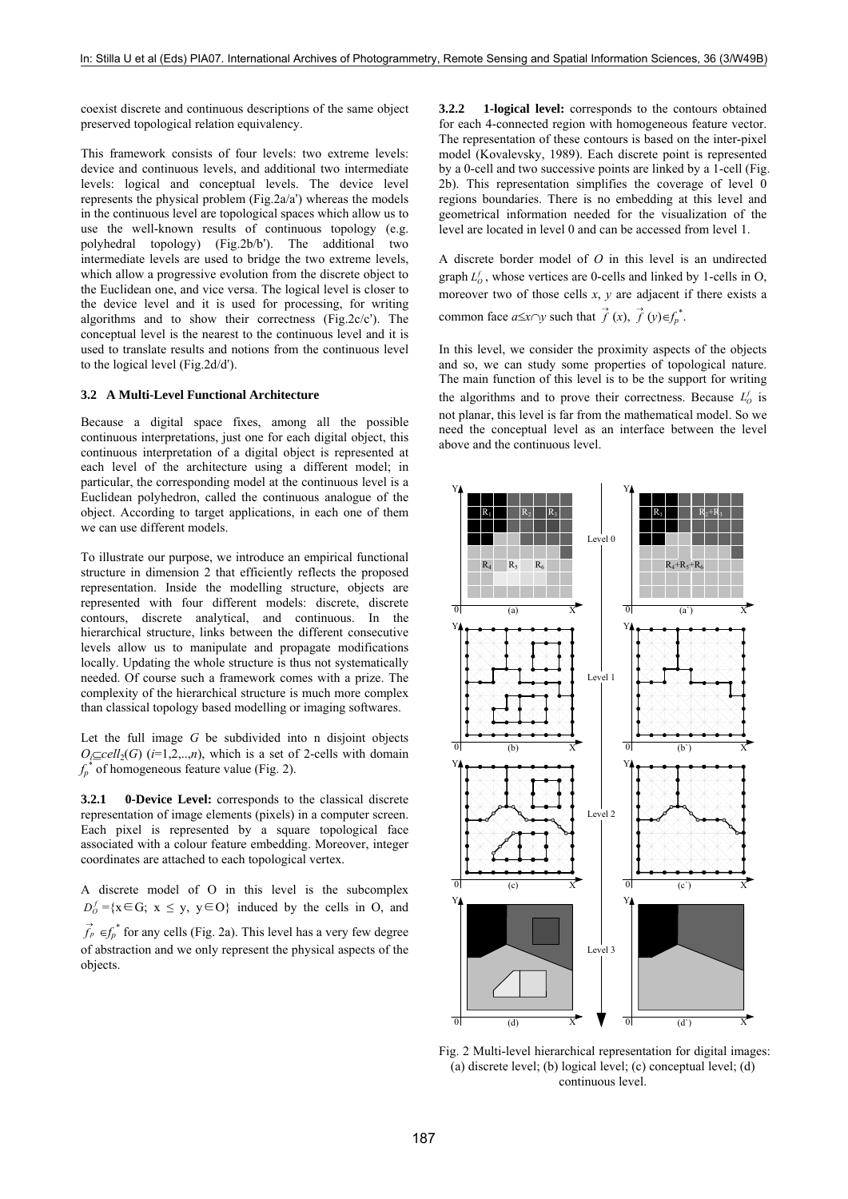coexist discrete and continuous descriptions of the same object preserved topological relation equivalency.

This framework consists of four levels: two extreme levels: device and continuous levels, and additional two intermediate levels: logical and conceptual levels. The device level represents the physical problem (Fig.2a/a') whereas the models in the continuous level are topological spaces which allow us to use the well-known results of continuous topology (e.g. polyhedral topology) (Fig.2b/b'). The additional two intermediate levels are used to bridge the two extreme levels, which allow a progressive evolution from the discrete object to the Euclidean one, and vice versa. The logical level is closer to the device level and it is used for processing, for writing algorithms and to show their correctness (Fig.2c/c'). The conceptual level is the nearest to the continuous level and it is used to translate results and notions from the continuous level to the logical level (Fig.2d/d').

#### **3.2 A Multi-Level Functional Architecture**

Because a digital space fixes, among all the possible continuous interpretations, just one for each digital object, this continuous interpretation of a digital object is represented at each level of the architecture using a different model; in particular, the corresponding model at the continuous level is a Euclidean polyhedron, called the continuous analogue of the object. According to target applications, in each one of them we can use different models.

To illustrate our purpose, we introduce an empirical functional structure in dimension 2 that efficiently reflects the proposed representation. Inside the modelling structure, objects are represented with four different models: discrete, discrete contours, discrete analytical, and continuous. In the hierarchical structure, links between the different consecutive levels allow us to manipulate and propagate modifications locally. Updating the whole structure is thus not systematically needed. Of course such a framework comes with a prize. The complexity of the hierarchical structure is much more complex than classical topology based modelling or imaging softwares.

Let the full image *G* be subdivided into n disjoint objects  $O_i \subseteq \text{cell}_2(G)$  (*i*=1,2,..,*n*), which is a set of 2-cells with domain  $f_p^*$  of homogeneous feature value (Fig. 2).

**3.2.1 0-Device Level:** corresponds to the classical discrete representation of image elements (pixels) in a computer screen. Each pixel is represented by a square topological face associated with a colour feature embedding. Moreover, integer coordinates are attached to each topological vertex.

A discrete model of O in this level is the subcomplex  $D_0^f = \{x \in G; x \le y, y \in O\}$  induced by the cells in O, and

 $\vec{f}_p \in f_p^*$  for any cells (Fig. 2a). This level has a very few degree of abstraction and we only represent the physical aspects of the objects.

**3.2.2 1-logical level:** corresponds to the contours obtained for each 4-connected region with homogeneous feature vector. The representation of these contours is based on the inter-pixel model (Kovalevsky, 1989). Each discrete point is represented by a 0-cell and two successive points are linked by a 1-cell (Fig. 2b). This representation simplifies the coverage of level 0 regions boundaries. There is no embedding at this level and geometrical information needed for the visualization of the level are located in level 0 and can be accessed from level 1.

A discrete border model of *O* in this level is an undirected graph  $L_0^f$ , whose vertices are 0-cells and linked by 1-cells in O, moreover two of those cells *x*, *y* are adjacent if there exists a common face  $a \leq x \cap y$  such that  $\overrightarrow{f}(x), \overrightarrow{f}(y) \in f_p^*$ .

In this level, we consider the proximity aspects of the objects and so, we can study some properties of topological nature. The main function of this level is to be the support for writing the algorithms and to prove their correctness. Because  $L_0^f$  is not planar, this level is far from the mathematical model. So we need the conceptual level as an interface between the level above and the continuous level.



Fig. 2 Multi-level hierarchical representation for digital images: (a) discrete level; (b) logical level; (c) conceptual level; (d) continuous level.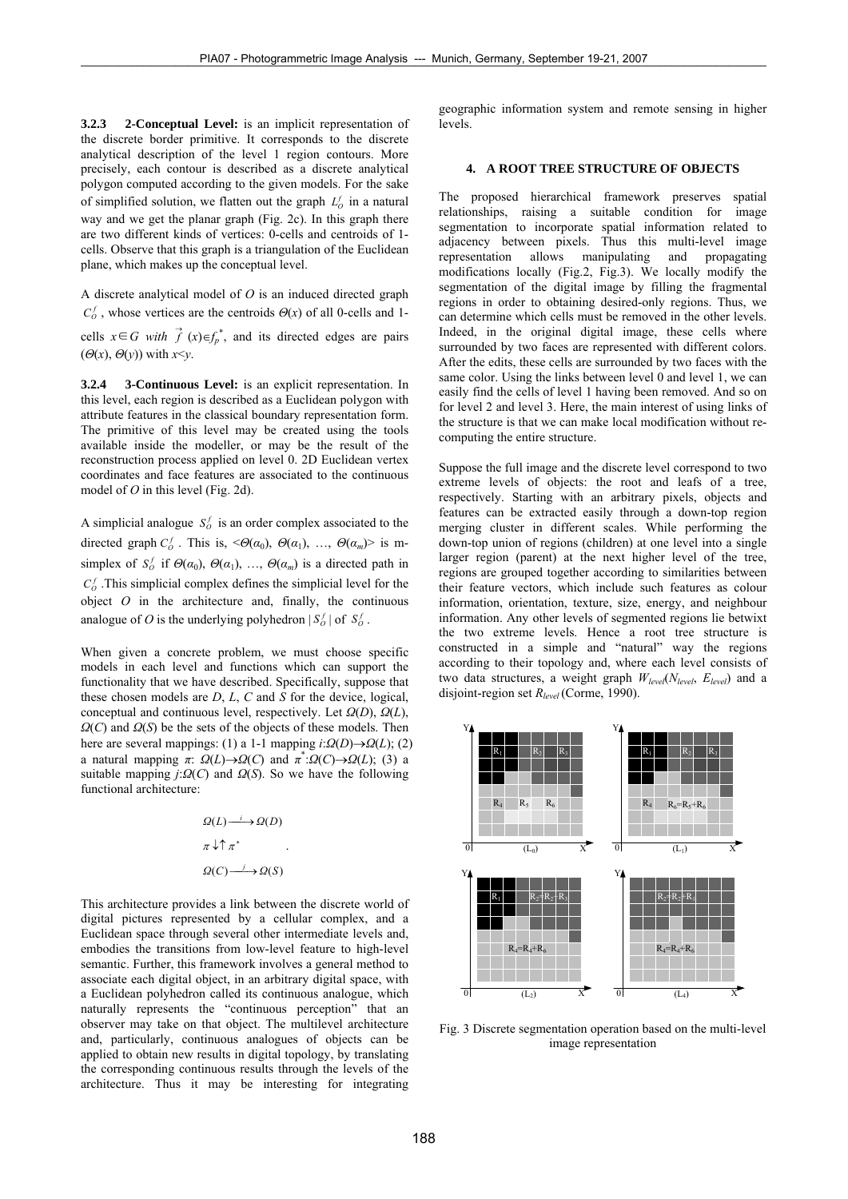**3.2.3 2-Conceptual Level:** is an implicit representation of the discrete border primitive. It corresponds to the discrete analytical description of the level 1 region contours. More precisely, each contour is described as a discrete analytical polygon computed according to the given models. For the sake of simplified solution, we flatten out the graph  $L_0^f$  in a natural way and we get the planar graph (Fig. 2c). In this graph there are two different kinds of vertices: 0-cells and centroids of 1 cells. Observe that this graph is a triangulation of the Euclidean plane, which makes up the conceptual level.

A discrete analytical model of *O* is an induced directed graph  $C_0^f$ , whose vertices are the centroids  $\Theta(x)$  of all 0-cells and 1-

cells  $x \in G$  *with*  $\overrightarrow{f}$   $(x) \in f_p^*$ , and its directed edges are pairs  $(\Theta(x), \Theta(y))$  with  $x \leq y$ .

**3.2.4 3-Continuous Level:** is an explicit representation. In this level, each region is described as a Euclidean polygon with attribute features in the classical boundary representation form. The primitive of this level may be created using the tools available inside the modeller, or may be the result of the reconstruction process applied on level 0. 2D Euclidean vertex coordinates and face features are associated to the continuous model of *O* in this level (Fig. 2d).

A simplicial analogue  $S_0^f$  is an order complex associated to the directed graph  $C_o^f$ . This is,  $\leq \Theta(\alpha_0)$ ,  $\Theta(\alpha_1)$ , ...,  $\Theta(\alpha_m)$  is msimplex of  $S_0^f$  if  $\Theta(\alpha_0)$ ,  $\Theta(\alpha_1)$ , ...,  $\Theta(\alpha_m)$  is a directed path in  $C_0^f$ . This simplicial complex defines the simplicial level for the object  $O$  in the architecture and, finally, the continuous analogue of *O* is the underlying polyhedron  $|S_0^f|$  of  $S_0^f$ .

When given a concrete problem, we must choose specific models in each level and functions which can support the functionality that we have described. Specifically, suppose that these chosen models are *D*, *L*, *C* and *S* for the device, logical, conceptual and continuous level, respectively. Let *Ω*(*D*), *Ω*(*L*), *Ω*(*C*) and *Ω*(*S*) be the sets of the objects of these models. Then here are several mappings: (1) a 1-1 mapping  $i:\Omega(D) \rightarrow \Omega(L)$ ; (2) a natural mapping  $\pi$ :  $\Omega(L) \rightarrow \Omega(C)$  and  $\pi^* : \Omega(C) \rightarrow \Omega(L)$ ; (3) a suitable mapping *j*:*Ω*(*C*) and *Ω*(*S*). So we have the following functional architecture:

$$
\Omega(L) \xrightarrow{i} \Omega(D)
$$
  
\n
$$
\pi \downarrow \uparrow \pi^*
$$
  
\n
$$
\Omega(C) \xrightarrow{j} \Omega(S)
$$

This architecture provides a link between the discrete world of digital pictures represented by a cellular complex, and a Euclidean space through several other intermediate levels and, embodies the transitions from low-level feature to high-level semantic. Further, this framework involves a general method to associate each digital object, in an arbitrary digital space, with a Euclidean polyhedron called its continuous analogue, which naturally represents the "continuous perception" that an observer may take on that object. The multilevel architecture and, particularly, continuous analogues of objects can be applied to obtain new results in digital topology, by translating the corresponding continuous results through the levels of the architecture. Thus it may be interesting for integrating

geographic information system and remote sensing in higher levels.

### **4. A ROOT TREE STRUCTURE OF OBJECTS**

The proposed hierarchical framework preserves spatial relationships, raising a suitable condition for image segmentation to incorporate spatial information related to adjacency between pixels. Thus this multi-level image representation allows manipulating and propagating modifications locally (Fig.2, Fig.3). We locally modify the segmentation of the digital image by filling the fragmental regions in order to obtaining desired-only regions. Thus, we can determine which cells must be removed in the other levels. Indeed, in the original digital image, these cells where surrounded by two faces are represented with different colors. After the edits, these cells are surrounded by two faces with the same color. Using the links between level 0 and level 1, we can easily find the cells of level 1 having been removed. And so on for level 2 and level 3. Here, the main interest of using links of the structure is that we can make local modification without recomputing the entire structure.

Suppose the full image and the discrete level correspond to two extreme levels of objects: the root and leafs of a tree, respectively. Starting with an arbitrary pixels, objects and features can be extracted easily through a down-top region merging cluster in different scales. While performing the down-top union of regions (children) at one level into a single larger region (parent) at the next higher level of the tree, regions are grouped together according to similarities between their feature vectors, which include such features as colour information, orientation, texture, size, energy, and neighbour information. Any other levels of segmented regions lie betwixt the two extreme levels. Hence a root tree structure is constructed in a simple and "natural" way the regions according to their topology and, where each level consists of two data structures, a weight graph *Wlevel*(*Nlevel*, *Elevel*) and a disjoint-region set *Rlevel* (Corme, 1990).



Fig. 3 Discrete segmentation operation based on the multi-level image representation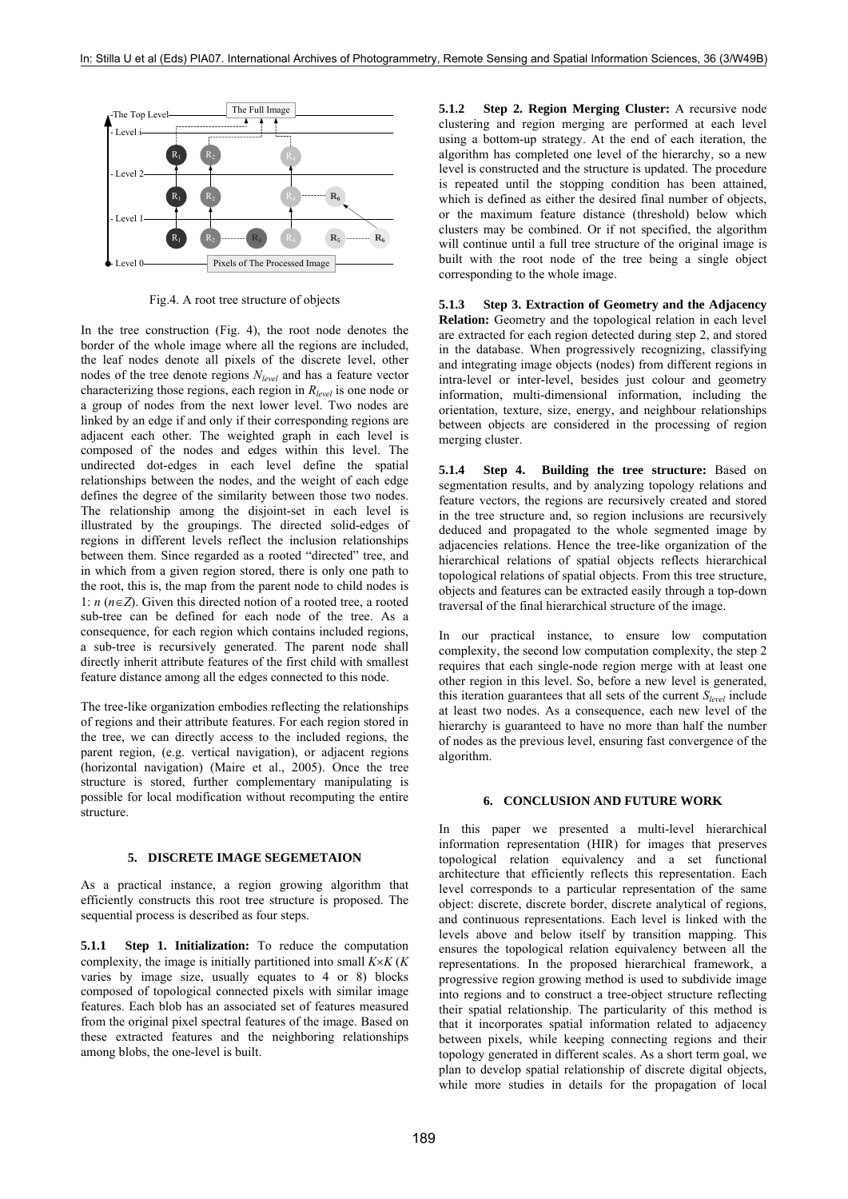

Fig.4. A root tree structure of objects

In the tree construction (Fig. 4), the root node denotes the border of the whole image where all the regions are included, the leaf nodes denote all pixels of the discrete level, other nodes of the tree denote regions *Nlevel* and has a feature vector characterizing those regions, each region in *Rlevel* is one node or a group of nodes from the next lower level. Two nodes are linked by an edge if and only if their corresponding regions are adjacent each other. The weighted graph in each level is composed of the nodes and edges within this level. The undirected dot-edges in each level define the spatial relationships between the nodes, and the weight of each edge defines the degree of the similarity between those two nodes. The relationship among the disjoint-set in each level is illustrated by the groupings. The directed solid-edges of regions in different levels reflect the inclusion relationships between them. Since regarded as a rooted "directed" tree, and in which from a given region stored, there is only one path to the root, this is, the map from the parent node to child nodes is 1: *n* (*n*∈*Z*). Given this directed notion of a rooted tree, a rooted sub-tree can be defined for each node of the tree. As a consequence, for each region which contains included regions, a sub-tree is recursively generated. The parent node shall directly inherit attribute features of the first child with smallest feature distance among all the edges connected to this node.

The tree-like organization embodies reflecting the relationships of regions and their attribute features. For each region stored in the tree, we can directly access to the included regions, the parent region, (e.g. vertical navigation), or adjacent regions (horizontal navigation) (Maire et al., 2005). Once the tree structure is stored, further complementary manipulating is possible for local modification without recomputing the entire structure.

#### **5. DISCRETE IMAGE SEGEMETAION**

As a practical instance, a region growing algorithm that efficiently constructs this root tree structure is proposed. The sequential process is described as four steps.

**5.1.1 Step 1. Initialization:** To reduce the computation complexity, the image is initially partitioned into small *K*×*K* (*K* varies by image size, usually equates to 4 or 8) blocks composed of topological connected pixels with similar image features. Each blob has an associated set of features measured from the original pixel spectral features of the image. Based on these extracted features and the neighboring relationships among blobs, the one-level is built.

**5.1.2 Step 2. Region Merging Cluster:** A recursive node clustering and region merging are performed at each level using a bottom-up strategy. At the end of each iteration, the algorithm has completed one level of the hierarchy, so a new level is constructed and the structure is updated. The procedure is repeated until the stopping condition has been attained. which is defined as either the desired final number of objects, or the maximum feature distance (threshold) below which clusters may be combined. Or if not specified, the algorithm will continue until a full tree structure of the original image is built with the root node of the tree being a single object corresponding to the whole image.

**5.1.3 Step 3. Extraction of Geometry and the Adjacency Relation:** Geometry and the topological relation in each level are extracted for each region detected during step 2, and stored in the database. When progressively recognizing, classifying and integrating image objects (nodes) from different regions in intra-level or inter-level, besides just colour and geometry information, multi-dimensional information, including the orientation, texture, size, energy, and neighbour relationships between objects are considered in the processing of region merging cluster.

**5.1.4 Step 4. Building the tree structure:** Based on segmentation results, and by analyzing topology relations and feature vectors, the regions are recursively created and stored in the tree structure and, so region inclusions are recursively deduced and propagated to the whole segmented image by adjacencies relations. Hence the tree-like organization of the hierarchical relations of spatial objects reflects hierarchical topological relations of spatial objects. From this tree structure, objects and features can be extracted easily through a top-down traversal of the final hierarchical structure of the image.

In our practical instance, to ensure low computation complexity, the second low computation complexity, the step 2 requires that each single-node region merge with at least one other region in this level. So, before a new level is generated, this iteration guarantees that all sets of the current *Slevel* include at least two nodes. As a consequence, each new level of the hierarchy is guaranteed to have no more than half the number of nodes as the previous level, ensuring fast convergence of the algorithm.

#### **6. CONCLUSION AND FUTURE WORK**

In this paper we presented a multi-level hierarchical information representation (HIR) for images that preserves topological relation equivalency and a set functional architecture that efficiently reflects this representation. Each level corresponds to a particular representation of the same object: discrete, discrete border, discrete analytical of regions, and continuous representations. Each level is linked with the levels above and below itself by transition mapping. This ensures the topological relation equivalency between all the representations. In the proposed hierarchical framework, a progressive region growing method is used to subdivide image into regions and to construct a tree-object structure reflecting their spatial relationship. The particularity of this method is that it incorporates spatial information related to adjacency between pixels, while keeping connecting regions and their topology generated in different scales. As a short term goal, we plan to develop spatial relationship of discrete digital objects, while more studies in details for the propagation of local